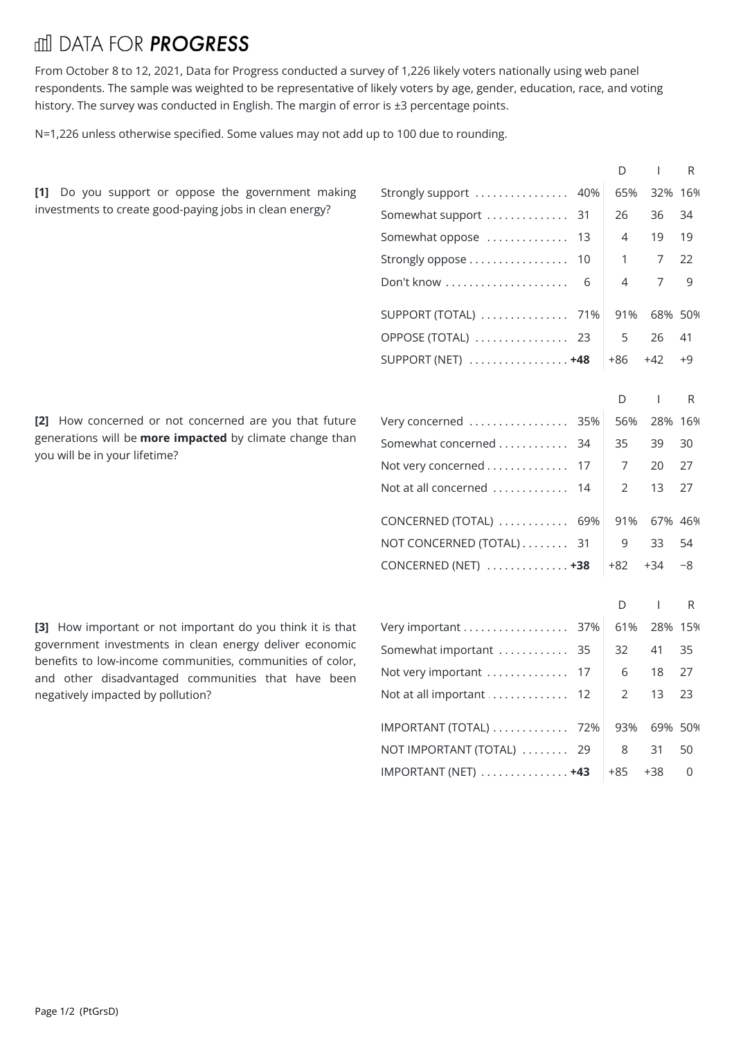## **III DATA FOR PROGRESS**

From October 8 to 12, 2021, Data for Progress conducted a survey of 1,226 likely voters nationally using web panel respondents. The sample was weighted to be representative of likely voters by age, gender, education, race, and voting history. The survey was conducted in English. The margin of error is ±3 percentage points.

N=1,226 unless otherwise specified. Some values may not add up to 100 due to rounding.

|                                                                                                                                                            |                                                        | D     |         | R    |
|------------------------------------------------------------------------------------------------------------------------------------------------------------|--------------------------------------------------------|-------|---------|------|
| [1] Do you support or oppose the government making<br>investments to create good-paying jobs in clean energy?                                              | Strongly support  40%                                  | 65%   | 32% 16% |      |
|                                                                                                                                                            | Somewhat support  31                                   | 26    | 36      | 34   |
|                                                                                                                                                            | Somewhat oppose  13                                    | 4     | 19      | 19   |
|                                                                                                                                                            | Strongly oppose 10                                     | 1     | 7       | 22   |
|                                                                                                                                                            | Don't know<br>6                                        | 4     | 7       | 9    |
|                                                                                                                                                            | SUPPORT (TOTAL)  71%                                   | 91%   | 68% 50% |      |
|                                                                                                                                                            | OPPOSE (TOTAL)  23                                     | 5     | 26      | -41  |
|                                                                                                                                                            | SUPPORT (NET) $\ldots \ldots \ldots \ldots \ldots +48$ | $+86$ | $+42$   | $+9$ |
|                                                                                                                                                            |                                                        |       |         |      |
|                                                                                                                                                            |                                                        | D     |         | R    |
| [2] How concerned or not concerned are you that future<br>generations will be <b>more impacted</b> by climate change than<br>you will be in your lifetime? | Very concerned  35%                                    | 56%   | 28% 16% |      |
|                                                                                                                                                            | Somewhat concerned 34                                  | 35    | 39      | 30   |
|                                                                                                                                                            | Not very concerned 17<br>20<br>7<br>27                 |       |         |      |
|                                                                                                                                                            | Not at all concerned  14                               | 2     | 13      | 27   |
|                                                                                                                                                            | CONCERNED (TOTAL)  69%                                 | 91%   | 67% 46% |      |
|                                                                                                                                                            | NOT CONCERNED (TOTAL)  31                              | 9     | 33      | 54   |
|                                                                                                                                                            | CONCERNED (NET)  +38                                   | $+82$ | $+34$   | $-8$ |
|                                                                                                                                                            |                                                        | D     |         | R    |
|                                                                                                                                                            |                                                        |       |         |      |
| [3] How important or not important do you think it is that                                                                                                 | Very important 37% 61%                                 |       | 28% 15% |      |

government investments in clean energy deliver economic benefits to low-income communities, communities of color, and other disadvantaged communities that have been negatively impacted by pollution?

|                           |               |         | R   |
|---------------------------|---------------|---------|-----|
| Very important 37%        | 61%           | 28% 15% |     |
| Somewhat important  35    | 32            | 41      | 35  |
| Not very important  17    | 6             | 18      | 27  |
|                           | $\mathcal{P}$ | 13      | -23 |
| IMPORTANT (TOTAL)  72%    | 93%           | 69% 50% |     |
| NOT IMPORTANT (TOTAL)  29 | 8             | 31      | 50  |
| $IMPORTANT (NET)$ +43     | +85           | +38     |     |